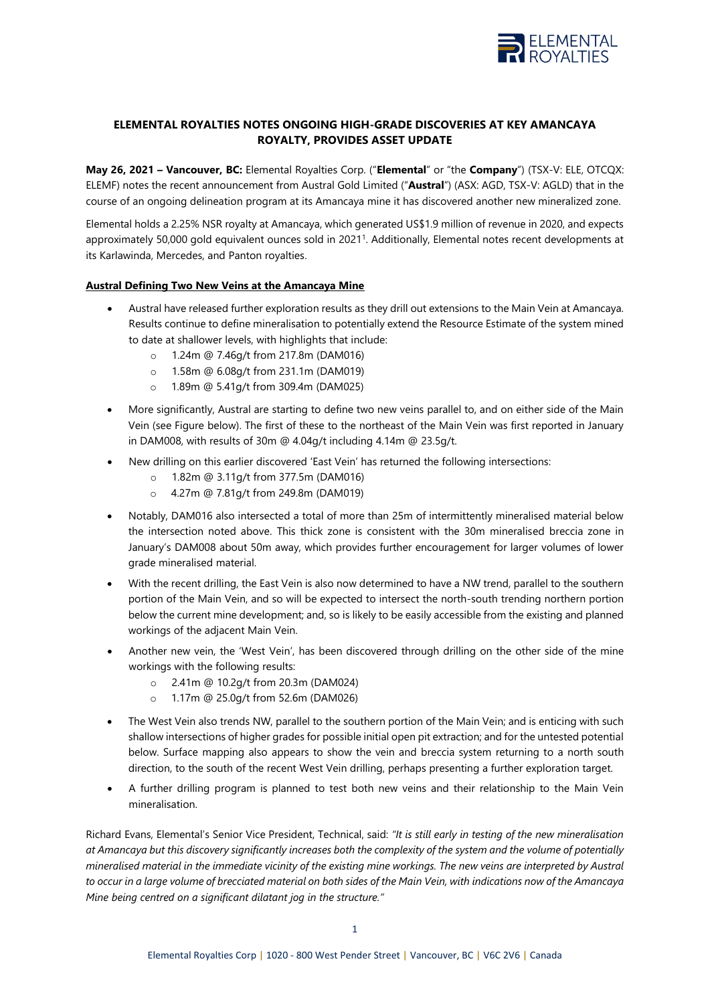

# **ELEMENTAL ROYALTIES NOTES ONGOING HIGH-GRADE DISCOVERIES AT KEY AMANCAYA ROYALTY, PROVIDES ASSET UPDATE**

**May 26, 2021 – Vancouver, BC:** Elemental Royalties Corp. ("**Elemental**" or "the **Company**") (TSX-V: ELE, OTCQX: ELEMF) notes the recent announcement from Austral Gold Limited ("**Austral**") (ASX: AGD, TSX-V: AGLD) that in the course of an ongoing delineation program at its Amancaya mine it has discovered another new mineralized zone.

Elemental holds a 2.25% NSR royalty at Amancaya, which generated US\$1.9 million of revenue in 2020, and expects approximately 50,000 gold equivalent ounces sold in 2021<sup>1</sup> . Additionally, Elemental notes recent developments at its Karlawinda, Mercedes, and Panton royalties.

## **Austral Defining Two New Veins at the Amancaya Mine**

- Austral have released further exploration results as they drill out extensions to the Main Vein at Amancaya. Results continue to define mineralisation to potentially extend the Resource Estimate of the system mined to date at shallower levels, with highlights that include:
	- o 1.24m @ 7.46g/t from 217.8m (DAM016)
	- o 1.58m @ 6.08g/t from 231.1m (DAM019)
	- o 1.89m @ 5.41g/t from 309.4m (DAM025)
- More significantly, Austral are starting to define two new veins parallel to, and on either side of the Main Vein (see Figure below). The first of these to the northeast of the Main Vein was first reported in January in DAM008, with results of 30m @ 4.04g/t including 4.14m @ 23.5g/t.
- New drilling on this earlier discovered 'East Vein' has returned the following intersections:
	- o 1.82m @ 3.11g/t from 377.5m (DAM016)
	- o 4.27m @ 7.81g/t from 249.8m (DAM019)
- Notably, DAM016 also intersected a total of more than 25m of intermittently mineralised material below the intersection noted above. This thick zone is consistent with the 30m mineralised breccia zone in January's DAM008 about 50m away, which provides further encouragement for larger volumes of lower grade mineralised material.
- With the recent drilling, the East Vein is also now determined to have a NW trend, parallel to the southern portion of the Main Vein, and so will be expected to intersect the north-south trending northern portion below the current mine development; and, so is likely to be easily accessible from the existing and planned workings of the adjacent Main Vein.
- Another new vein, the 'West Vein', has been discovered through drilling on the other side of the mine workings with the following results:
	- o 2.41m @ 10.2g/t from 20.3m (DAM024)
	- o 1.17m @ 25.0g/t from 52.6m (DAM026)
- The West Vein also trends NW, parallel to the southern portion of the Main Vein; and is enticing with such shallow intersections of higher grades for possible initial open pit extraction; and for the untested potential below. Surface mapping also appears to show the vein and breccia system returning to a north south direction, to the south of the recent West Vein drilling, perhaps presenting a further exploration target.
- A further drilling program is planned to test both new veins and their relationship to the Main Vein mineralisation.

Richard Evans, Elemental's Senior Vice President, Technical, said: *"It is still early in testing of the new mineralisation at Amancaya but this discovery significantly increases both the complexity of the system and the volume of potentially mineralised material in the immediate vicinity of the existing mine workings. The new veins are interpreted by Austral to occur in a large volume of brecciated material on both sides of the Main Vein, with indications now of the Amancaya Mine being centred on a significant dilatant jog in the structure."*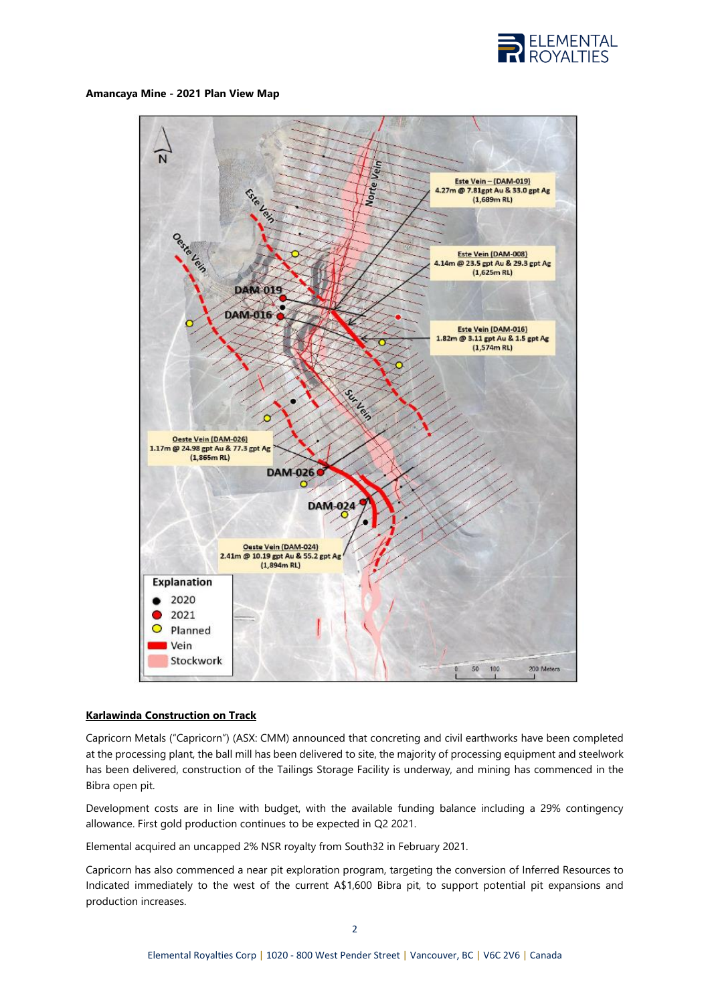

#### **Amancaya Mine - 2021 Plan View Map**



## **Karlawinda Construction on Track**

Capricorn Metals ("Capricorn") (ASX: CMM) announced that concreting and civil earthworks have been completed at the processing plant, the ball mill has been delivered to site, the majority of processing equipment and steelwork has been delivered, construction of the Tailings Storage Facility is underway, and mining has commenced in the Bibra open pit.

Development costs are in line with budget, with the available funding balance including a 29% contingency allowance. First gold production continues to be expected in Q2 2021.

Elemental acquired an uncapped 2% NSR royalty from South32 in February 2021.

Capricorn has also commenced a near pit exploration program, targeting the conversion of Inferred Resources to Indicated immediately to the west of the current A\$1,600 Bibra pit, to support potential pit expansions and production increases.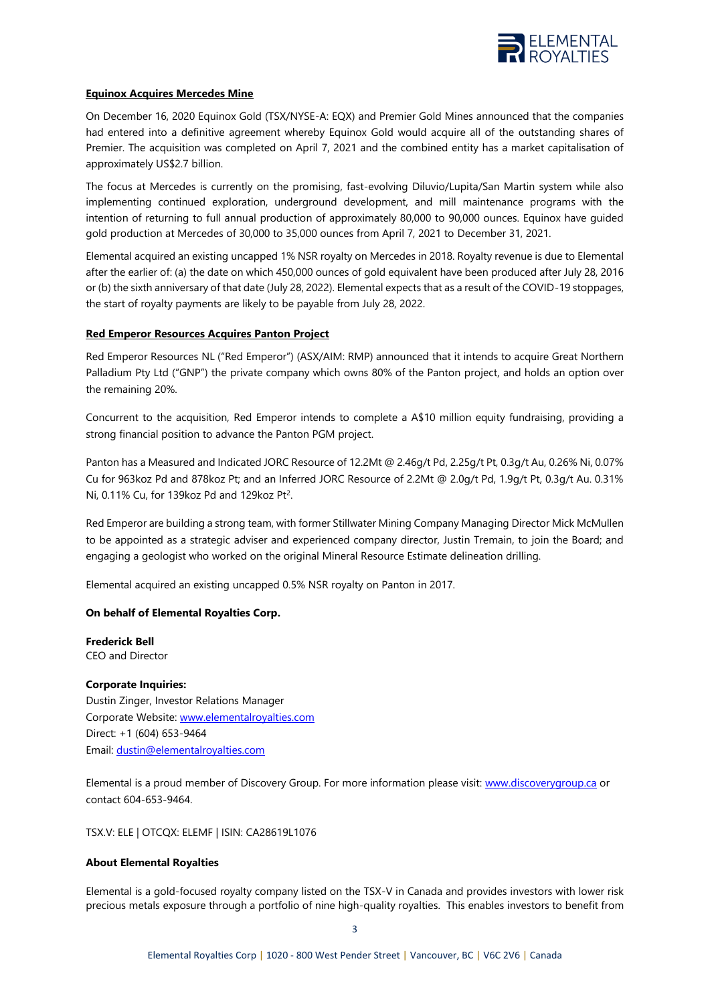

## **Equinox Acquires Mercedes Mine**

On December 16, 2020 Equinox Gold (TSX/NYSE-A: EQX) and Premier Gold Mines announced that the companies had entered into a definitive agreement whereby Equinox Gold would acquire all of the outstanding shares of Premier. The acquisition was completed on April 7, 2021 and the combined entity has a market capitalisation of approximately US\$2.7 billion.

The focus at Mercedes is currently on the promising, fast-evolving Diluvio/Lupita/San Martin system while also implementing continued exploration, underground development, and mill maintenance programs with the intention of returning to full annual production of approximately 80,000 to 90,000 ounces. Equinox have quided gold production at Mercedes of 30,000 to 35,000 ounces from April 7, 2021 to December 31, 2021.

Elemental acquired an existing uncapped 1% NSR royalty on Mercedes in 2018. Royalty revenue is due to Elemental after the earlier of: (a) the date on which 450,000 ounces of gold equivalent have been produced after July 28, 2016 or (b) the sixth anniversary of that date (July 28, 2022). Elemental expects that as a result of the COVID-19 stoppages, the start of royalty payments are likely to be payable from July 28, 2022.

# **Red Emperor Resources Acquires Panton Project**

Red Emperor Resources NL ("Red Emperor") (ASX/AIM: RMP) announced that it intends to acquire Great Northern Palladium Pty Ltd ("GNP") the private company which owns 80% of the Panton project, and holds an option over the remaining 20%.

Concurrent to the acquisition, Red Emperor intends to complete a A\$10 million equity fundraising, providing a strong financial position to advance the Panton PGM project.

Panton has a Measured and Indicated JORC Resource of 12.2Mt @ 2.46g/t Pd, 2.25g/t Pt, 0.3g/t Au, 0.26% Ni, 0.07% Cu for 963koz Pd and 878koz Pt; and an Inferred JORC Resource of 2.2Mt @ 2.0g/t Pd, 1.9g/t Pt, 0.3g/t Au. 0.31% Ni, 0.11% Cu, for 139 koz Pd and 129 koz Pt<sup>2</sup>.

Red Emperor are building a strong team, with former Stillwater Mining Company Managing Director Mick McMullen to be appointed as a strategic adviser and experienced company director, Justin Tremain, to join the Board; and engaging a geologist who worked on the original Mineral Resource Estimate delineation drilling.

Elemental acquired an existing uncapped 0.5% NSR royalty on Panton in 2017.

## **On behalf of Elemental Royalties Corp.**

**Frederick Bell** CEO and Director

## **Corporate Inquiries:**

Dustin Zinger, Investor Relations Manager Corporate Website: [www.elementalroyalties.com](http://www.elementalroyalties.com/) Direct: +1 (604) 653-9464 Email[: dustin@elementalroyalties.com](mailto:dustin@elementalroyalties.com)

Elemental is a proud member of Discovery Group. For more information please visit: [www.discoverygroup.ca](http://www.discoverygroup.ca/) or contact 604-653-9464.

TSX.V: ELE | OTCQX: ELEMF | ISIN: CA28619L1076

## **About Elemental Royalties**

Elemental is a gold-focused royalty company listed on the TSX-V in Canada and provides investors with lower risk precious metals exposure through a portfolio of nine high-quality royalties. This enables investors to benefit from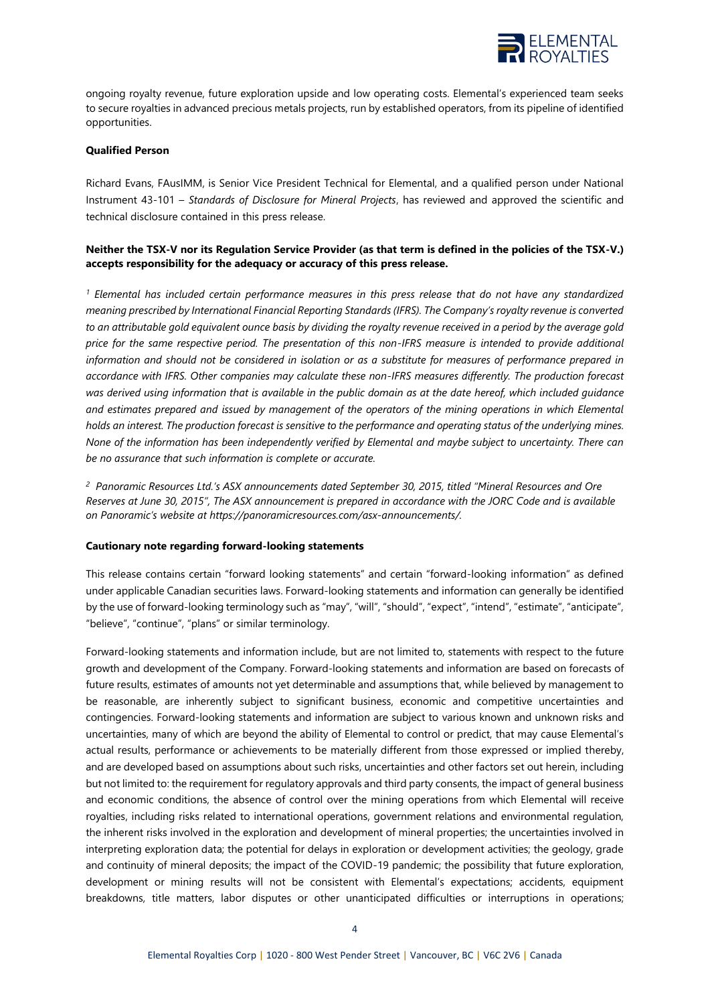

ongoing royalty revenue, future exploration upside and low operating costs. Elemental's experienced team seeks to secure royalties in advanced precious metals projects, run by established operators, from its pipeline of identified opportunities.

#### **Qualified Person**

Richard Evans, FAusIMM, is Senior Vice President Technical for Elemental, and a qualified person under National Instrument 43-101 – *Standards of Disclosure for Mineral Projects*, has reviewed and approved the scientific and technical disclosure contained in this press release.

### **Neither the TSX-V nor its Regulation Service Provider (as that term is defined in the policies of the TSX-V.) accepts responsibility for the adequacy or accuracy of this press release.**

*<sup>1</sup> Elemental has included certain performance measures in this press release that do not have any standardized meaning prescribed by International Financial Reporting Standards (IFRS). The Company's royalty revenue is converted to an attributable gold equivalent ounce basis by dividing the royalty revenue received in a period by the average gold price for the same respective period. The presentation of this non-IFRS measure is intended to provide additional information and should not be considered in isolation or as a substitute for measures of performance prepared in accordance with IFRS. Other companies may calculate these non-IFRS measures differently. The production forecast was derived using information that is available in the public domain as at the date hereof, which included guidance and estimates prepared and issued by management of the operators of the mining operations in which Elemental holds an interest. The production forecast is sensitive to the performance and operating status of the underlying mines. None of the information has been independently verified by Elemental and maybe subject to uncertainty. There can be no assurance that such information is complete or accurate.*

*2 Panoramic Resources Ltd.'s ASX announcements dated September 30, 2015, titled "Mineral Resources and Ore Reserves at June 30, 2015", The ASX announcement is prepared in accordance with the JORC Code and is available on Panoramic's website at https://panoramicresources.com/asx-announcements/.*

#### **Cautionary note regarding forward-looking statements**

This release contains certain "forward looking statements" and certain "forward-looking information" as defined under applicable Canadian securities laws. Forward-looking statements and information can generally be identified by the use of forward-looking terminology such as "may", "will", "should", "expect", "intend", "estimate", "anticipate", "believe", "continue", "plans" or similar terminology.

Forward-looking statements and information include, but are not limited to, statements with respect to the future growth and development of the Company. Forward-looking statements and information are based on forecasts of future results, estimates of amounts not yet determinable and assumptions that, while believed by management to be reasonable, are inherently subject to significant business, economic and competitive uncertainties and contingencies. Forward-looking statements and information are subject to various known and unknown risks and uncertainties, many of which are beyond the ability of Elemental to control or predict, that may cause Elemental's actual results, performance or achievements to be materially different from those expressed or implied thereby, and are developed based on assumptions about such risks, uncertainties and other factors set out herein, including but not limited to: the requirement for regulatory approvals and third party consents, the impact of general business and economic conditions, the absence of control over the mining operations from which Elemental will receive royalties, including risks related to international operations, government relations and environmental regulation, the inherent risks involved in the exploration and development of mineral properties; the uncertainties involved in interpreting exploration data; the potential for delays in exploration or development activities; the geology, grade and continuity of mineral deposits; the impact of the COVID-19 pandemic; the possibility that future exploration, development or mining results will not be consistent with Elemental's expectations; accidents, equipment breakdowns, title matters, labor disputes or other unanticipated difficulties or interruptions in operations;